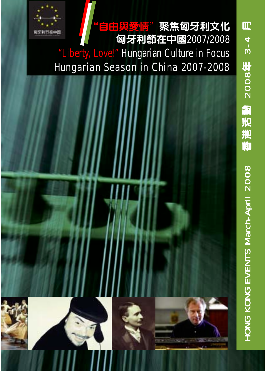

# <mark>由與愛情</mark>"聚焦匈牙利文化 匈牙利節在中國2007/2008 "Liberty, Love!" Hungarian Culture in Focus Hungarian Season in China 2007-2008



HONG KONG EVENTS March-April 2008 仲間活動 2008

HONG KONG EVENTS March-April 2008

年 3-4

月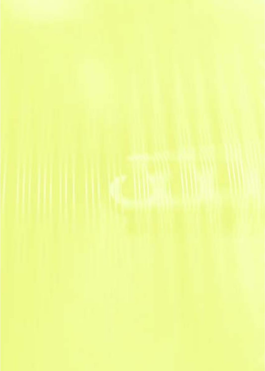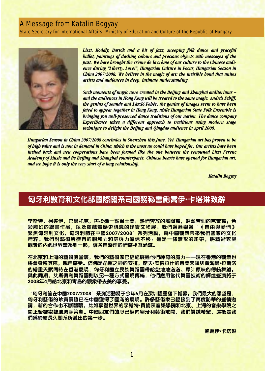#### A Message from Katalin Bogyay

State Secretary for International Affairs, Ministry of Education and Culture of the Republic of Hungary



*Liszt, Kodály, Bartók and a bit of jazz, sweeping folk dance and graceful ballet, paintings of dashing colours and precious objects with messages of the past. We have brought the crème de la crème of our culture to the Chinese audience during "Liberty, Love!", Hungarian Culture in Focus, Hungarian Season in China 2007/2008. We believe in the magic of art: the invisible bond that unites artists and audiences in deep, intimate understanding.* 

*Such moments of magic were created in the Beijing and Shanghai auditoriums – and the audiences in Hong Kong will be treated to the same magic. András Schiff, the genius of sounds and László Fehér, the genius of images seem to have been fated to appear together in Hong Kong, while Hungarian State Folk Ensemble is bringing you well-preserved dance traditions of our nation. The dance company ExperiDance takes a different approach to traditions using modern stage technique to delight the Beijing and Qingdao audience in April 2008.* 

*Hungarian Season in China 2007/2008 concludes in Shenzhen this June. Yet, Hungarian art has proven to be of high value and is now in demand in China, which is the most we could have hoped for. Our artists have been invited back and new cooperations have been formed like the one between the renowned Liszt Ferenc Academy of Music and its Beijing and Shanghai counterparts. Chinese hearts have opened for Hungarian art, and we hope it is only the very start of a long relationship.*

*Katalin Bogyay*

### 匈牙利教育和文化部國際關系司國務秘書鮑喬伊·卡塔琳致辭

李斯特,柯達伊,巴爾托克,再揉進一點爵士樂;熱情奔放的民間舞,輕盈若仙的芭蕾舞;色 彩魔幻的繪書作品,以及蘊藏着歷史訊息的珍貴文物展。我們通過舉辦"《自由與愛情》 聚焦匈牙利文化,匈牙利節在中國2007/2008"系列活動,爲中國觀衆帶來我們國家的文化 精粹。我們對藝術所擁有的親和力和穿透力深信不移:這是一條無形的紐帶,將藝術家與 觀象的內心世界牽系到一起,讓各自深埋的情感相互涌流。

在北京和上海的藝術殿堂裏,我們的藝術家已經施展過他們神奇的魔力——現在香港的觀衆也 將會身臨其境,親自感受。仿佛是命運之神的安排,席夫•安德拉什的音樂天賦與費海爾•拉斯洛 的繪書天賦同時在香港展現,匈牙利國立民族舞蹈團帶給您地地道道、原汁原味的傳統舞蹈。 與此同期、艾斯佩利舞蹈團則以另一種方式呈現傳統,他們應用當代舞臺技術的輝煌盛演將于 2008年4月給北京和靑鳥的觀衆帶去美的享受。

"匈牙利節在中國2007/2008"系列活動將于今年6月在深圳隆重落下帷幕。我們最大的願望是. 匈牙利藝術的珍貴價値已在中國獲得了圓滿的展現。許多藝術家已經接到了再度訪華的盛情邀 請,新的合作也不斷醞釀,比如享譽世界的李斯特·費倫茨音樂學院和北京、上海的音樂學院之 間正緊鑼密鼓地聯手策劃。中國朋友們的心已經向匈牙利藝術敵開,我們眞誠希望,這祗是我 們爲締結長久關系所漢出的第一步。

鮑喬伊·卡塔琳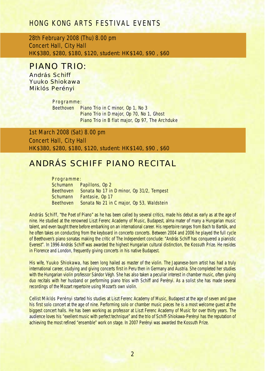### HONG KONG ARTS FESTIVAL EVENTS

28th February 2008 (Thu) 8.00 pm Concert Hall, City Hall HK\$380, \$280, \$180, \$120, student: HK\$140, \$90 , \$60

### PIANO TRIO:

András Schiff Yuuko Shiokawa Miklós Perényi

> Programme: Beethoven Piano Trio in C minor, Op 1, No 3 Piano Trio in D major, Op 70, No 1, *Ghos*t Piano Trio in B flat major, Op 97, *The Archduke*

1st March 2008 (Sat) 8.00 pm Concert Hall, City Hall HK\$380, \$280, \$180, \$120, student: HK\$140, \$90 , \$60

## ANDRÁS SCHIFF PIANO RECITAL

| Programme:       |                                           |
|------------------|-------------------------------------------|
| Schumann         | Papillons, Op 2                           |
| <b>Beethoven</b> | Sonata No 17 in D minor, Op 31/2, Tempest |
| <b>Schumann</b>  | Fantasie, Op 17                           |
| <b>Beethoven</b> | Sonata No 21 in C major, Op 53, Waldstein |

András Schiff, "the Poet of Piano" as he has been called by several critics, made his debut as early as at the age of nine. He studied at the renowned Liszt Ferenc Academy of Music, Budapest, *alma mater* of many a Hungarian music talent, and even taught there before embarking on an international career. His repertoire ranges from Bach to Bartók, and he often takes on conducting from the keyboard in concerto concerts. Between 2004 and 2006 he played the full cycle of Beethoven's piano sonatas making the critic of *The Independent* conclude: "András Schiff has conquered a pianistic Everest". In 1996 András Schiff was awarded the highest Hungarian cultural distinction, the Kossuth Prize. He resides in Florence and London, frequently giving concerts in his native Budapest.

His wife, Yuuko Shiokawa, has been long hailed as master of the violin. The Japanese-born artist has had a truly international career, studying and giving concerts first in Peru then in Germany and Austria. She completed her studies with the Hungarian violin professor Sándor Végh. She has also taken a peculiar interest in chamber music, often giving duo recitals with her husband or performing piano trios with Schiff and Perényi. As a solist she has made several recordings of the Mozart repertoire using Mozart's own violin.

Cellist Miklós Perényi started his studies at Liszt Ferenc Academy of Music, Budapest at the age of seven and gave his first solo concert at the age of nine. Performing solo or chamber music pieces he is a most welcome guest at the biggest concert halls. He has been working as professor at Liszt Ferenc Academy of Music for over thirty years. The audience loves his "exellent music with perfect technique" and the trio of Schiff-Shiokawa-Perényi has the reputation of achieving the most refined "ensemble" work on stage. In 2007 Perényi was awarded the Kossuth Prize.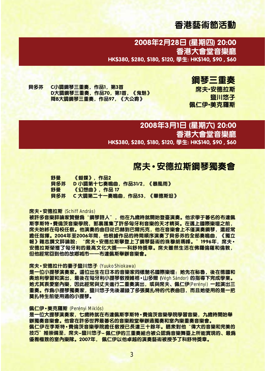## 香港藝術節活動

2008年2月28日 (星期四) 20:00 香港大會堂音樂廳 HK\$380, \$280, \$180, \$120, 學生: HK\$140, \$90, \$60

C小調鋼琴三重奏, 作品1, 第3首 目名芬 D大調綱琴三重奏, 作品70. 第1首, 《鬼魅》 降B大調鋼琴三重奏, 作品97, 《大公爵》

綱琴三重奏

席夫·安德拉斯 鹽川悠子 佩仁伊·美克羅斯

2008年3月1日 (星期六) 20:00 香港大會堂音樂廳 HK\$380, \$280, \$180, \$120, 學生: HK\$140, \$90, \$60

### 席夫·安德拉斯鋼琴獨泰會

舒曼 《蝴蝶》,作品2 目名芬 D 小調第十七奏鳴曲, 作品31/2, 《暴風雨》 舒曼 《幻想曲》, 作品 17 目名芬 C 大調第二十一奏鳴曲, 作品53, 《華德斯坦》

#### 席夫·安德拉斯 (Schiff András)

被許多音樂評論家贊譽爲"鋼琴詩人", 他在九歲時就開始登臺演奏。他求學于著名的布達佩 斯李斯特•費倫茨音樂學院、那裏匯集了許多匈牙利音樂的天才精英。在邁上國際樂壇之前、 席夫始終在母校任敎。他演奏的曲目從巴赫到巴爾托克,他在音樂會上不僅演奏鋼琴,還經常 擔任指揮。2004年至2006年間,他根據作品的時間順序演奏了貝名芬的全部奏鳴曲,《獨立 報》雜志撰文評論說:"席夫·安德拉斯攀登上了鋼琴藝術的珠穆朗瑪峰。"1996年,席夫· 安德拉斯榮獲了匈牙利的最高文化大獎——科舒特獎章。席夫雖然生活在佛羅倫薩和倫敦. 但他經常回到他的故鄉城市——布達佩斯舉辦音樂會。

#### 席夫·安德拉什的妻子鹽川悠子 (Yuuko Shiokawa)

是一位小提琴演奏家。這位出生在日本的音樂家同樣馳名國際樂壇:她先在秘魯,後在德國和 奥地利學習和演出,最後在匈牙利小提琴敎授維格·山多爾 (Végh Sándor) 的指導下完成學業。 <mark>她尤其衷愛宰內孿,因此經常與丈夫谁行二重奉演出,或與席夫、佩仁伊(Perényi) 一起演出三</mark> **重奏。作爲小提琴獨奉家、鹽川悠子先後灌錄了多張草扎特的代表曲目、而且她使用的是一把** 草扎特生前使用渦的小提琴。

#### 佩仁伊·美克羅斯 (Perényi Miklós)

是一位大提琴演奏家、七歲時就在布達佩斯李斯特•費倫茨音樂學院學習音樂、九歲時開始舉 辦獨奉音樂會。他會在許名世界最著名的音樂殿堂舉辦渦獨奉和宰內樂重奉音樂會。 佩仁伊在李斯特•費倫茨音樂學院擔任敎授已長達三十餘年。 聽衆對他"偉大的音樂和完美的 技巧"推崇備至,席夫-鹽川悠子- 佩仁伊的三重奏組合被公認爲音樂舞臺上所能實現的、最爲 優雅極致的宰內樂隊。2007年, 佩仁伊以他卓越的演奏藝術被授予了科舒特獎章。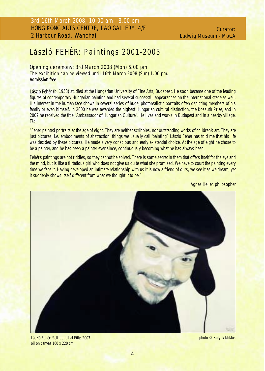3rd-16th March 2008, 10.00 am - 8.00 pm HONG KONG ARTS CENTRE, PAO GALLERY, 4/F 2 Harbour Road, Wanchai

### László FEHÉR: Paintings 2001-2005

#### Opening ceremony: 3rd March 2008 (Mon) 6.00 pm The exhibition can be viewed until 16th March 2008 (Sun) 1.00 pm. Admission free

László Fehér (b. 1953) studied at the Hungarian University of Fine Arts, Budapest. He soon became one of the leading figures of contemporary Hungarian painting and had several successful appearances on the international stage as well. His interest in the human face shows in several series of huge, photorealistic portraits often depicting members of his family or even himself. In 2000 he was awarded the highest Hungarian cultural distinction, the Kossuth Prize, and in 2007 he received the title "Ambassador of Hungarian Culture". He lives and works in Budapest and in a nearby village, Tác.

"Fehér painted portraits at the age of eight. They are neither scribbles, nor outstanding works of children's art. They are just pictures, i.e. embodiments of abstraction, things we usually call 'painting'. László Fehér has told me that his life was decided by these pictures. He made a very conscious and early existential choice. At the age of eight he chose to be a painter, and he has been a painter ever since, continuously becoming what he has always been.

Fehér's paintings are not riddles, so they cannot be solved. There is some secret in them that offers itself for the eye and the mind, but is like a flirtatious girl who does not give us quite what she promised. We have to court the painting every time we face it. Having developed an intimate relationship with us it is now a friend of ours, we see it as we dream, yet it suddenly shows itself different from what we thought it to be."

*Ágnes Heller, philosopher*



László Fehér: Self-portait at Fifty, 2003 oil on canvas 160 x 220 cm

photo © Sulyok Miklós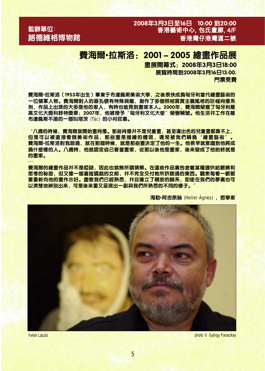監辦單位: 路德維格博物館

# 2008年3月3日至16日 10:00 到20:00<br>香港藝術中心, 包氏畫廊, 4/F 香港灣仔港灣道二號

## **費海爾•拉斯洛:2001-2005 繪書作品展**

畫展開幕式: 2008年3月3日18:00 展覽時間到2008年3月16日13:00. 門票冤費

**費海爾·拉斯洛(1953年出生)畢業于布達佩斯美術大學,之後很快成爲匈牙利當代繪書藝術的** 一位領軍人物。費海爾對人的面孔懷有特殊興趣。創作了多個照相寫實主義風格的巨幅肖像系 列,作品上出現的大多是他的家人,有時也能見到畫家本人。2000年,費海爾榮獲了匈牙利最 高文化大獎科舒特獎章:2007年,他被授予"匈牙利文化大使"榮譽稱號。他生活幷工作在離 布達佩斯不遠的一個叫塔茨 (Tác) 的小村莊裏。

"八歲的時候,費海爾就開始畫肖像。那些肖像幷不是兒童畫,甚至連出色的兒童畫都算不上, 但是可以被直接看做美術作品,那些畫是描繪的體現,通常被我們稱爲'繪畫藝術'。 費海爾·拉斯洛對我說過,就在那個時候,就是那些畫決定了他的一生。他很早就意識到他將成 爲什麽樣的人。八歲時,他就認定自己要當書家,從那以後他是書家,後來變成了他始終就是 的書家。

費海爾的繪書作品幷不是啞謎,因此也就無所謂猜解。在這些作品裏包含着某種提供給眼睛和 思考的秘密,但又像一個喜擅調戲的女郞,幷不完全交付她所許諾過的東西。觀衆每看一眼都 要重新向他的畫作示好。盡管我們已經熟悉,幷且建立了親密的關系,即使在我們的夢裏也可 以清楚地辨別出來,可是後來重又早現出一副與我們所熟悉的不同的樣子。



海勒·阿吉奈絲 (Heller Ágnes), 哲學家

Fehér László

 $\sim$ 

photo © György Paraszkay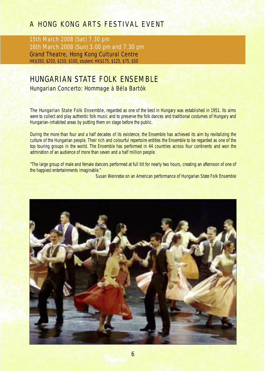### A HONG KONG ARTS FESTIVAL EVENT

15th March 2008 (Sat) 7.30 pm 16th March 2008 (Sun) 3.00 pm and 7.30 pm Grand Theatre, Hong Kong Cultural Centre HK\$350, \$250, \$150, \$100, student: HK\$175, \$125, \$75, \$50

### HUNGARIAN STATE FOLK ENSEMBLE

Hungarian Concerto: Hommage à Béla Bartók

The Hungarian State Folk Ensemble, regarded as one of the best in Hungary was established in 1951. Its aims were to collect and play authentic folk music and to preserve the folk dances and traditional costumes of Hungary and Hungarian-inhabited areas by putting them on stage before the public.

During the more than four and a half decades of its existence, the Ensemble has achieved its aim by revitalizing the culture of the Hungarian people. Their rich and colourful repertoire entitles the Ensemble to be regarded as one of the top touring groups in the world. The Ensemble has performed in 44 countries across four continents and won the admiration of an audience of more than seven and a half million people.

"*The large group of male and female dancers performed at full tilt for nearly two hours, creating an afternoon of one of the happiest entertainments imaginable."*

Susan Weinrebe on an American performance of Hungarian State Folk Ensemble

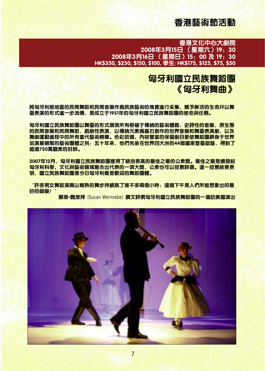## 香港藝術節活動

香港文化中心大劇院

2008年3月15日 (星期六)19:30 2008年3月16日 (星期日) 15:00 及 19:30 HK\$350, \$250, \$150, \$100, 學生: HK\$175, \$125, \$75, \$50

### 匈牙利國立民族舞蹈團 《匈牙利舞曲》

將匈牙利語地區的民間舞蹈和民間音樂作爲民族藝術的瑰寶淮行尖隼、賦予鮮活的生命幷以舞 <u>臺表演的形式谁一步流傳,是成立于1951年的匈牙利國立民族舞蹈團的使命與任務。</u>

匈牙利國立民族舞蹈團以舞臺的形式展現所有根植于傳統的藝術體裁:史詩性的音樂,原生態 的民間音樂和民間舞蹈,戲劇性表演,以傳統元素爲基石創作的世界音樂和舞臺表演劇,以及 舞劇運動進程中的所有當代藝術精華。色彩斑斕、內容豐富的保留劇目更使舞蹈團躋身于世界 wlfa最頻繁的藝術團體之列: 五十年來, 他們先後在世界四大洲的44個國家登臺獻藝, 得到了 超過750萬觀衆的好評。

2007年12月,匈牙利國立民族舞蹈團獲得了級別很高的最佳之最的公衆獎。最佳之最是頒發給 匈牙利科學、文化與藝術領域最杰出代表的一項大獎,公衆也可以投票評選。這一投票結果表 明,國立民族舞蹈團是今日匈牙利最受歡迎的舞蹈團體。

"許多男女舞蹈演員以嫻熟的舞步持續跳了差不多兩個小時:這個下午是人們所能想象出的最 好的娯樂!

蘇珊·魏萊拜 (Susan Weinrebe) 撰文評價匈牙利國立民族舞蹈團的一場訪美國演出

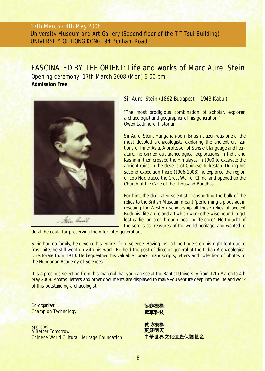#### 17th March - 4th May 2008 University Museum and Art Gallery (Second floor of the T T Tsui Building) UNIVERSITY OF HONG KONG, 94 Bonham Road

### FASCINATED BY THE ORIENT: Life and works of Marc Aurel Stein Opening ceremony: 17th March 2008 (Mon) 6.00 pm

**Admission Free**



#### Sir Aurel Stein (1862 Budapest – 1943 Kabul)

"The most prodigious combination of scholar, explorer, archaeologist and geographer of his generation." Owen Lattimore, historian

Sir Aurel Stein, Hungarian-born British citizen was one of the most devoted archaeologists exploring the ancient civilizations of Inner Asia. A professor of Sanskrit language and literature, he carried out archeological explorations in India and Kashmir, then crossed the Himalayas in 1900 to excavate the ancient ruins in the deserts of Chinese Turkestan. During his second expedition there (1906-1908) he explored the region of Lop Nor, traced the Great Wall of China, and opened up the Church of the Cave of the Thousand Buddhas.

For him, the dedicated scientist, transporting the bulk of the relics to the British Museum meant "performing a pious act in rescuing for Western scholarship all those relics of ancient Buddhist literature and art which were otherwise bound to get lost earlier or later through local indifference". He thought of the scrolls as treasures of the world heritage, and wanted to

do all he could for preserving them for later generations.

Stein had no family, he devoted his entire life to science. Having lost all the fingers on his right foot due to frost-bite, he still went on with his work. He held the post of director general at the Indian Archaeological Directorate from 1910. He bequeathed his valuable library, manuscripts, letters and collection of photos to the Hungarian Academy of Sciences.

It is a precious selection from this material that you can see at the Baptist University from 17th March to 4th May 2008. Photos, letters and other documents are displayed to make you venture deep into the life and work of this outstanding archaeologist.

Co-organizer: Champion Technology

Sponsors: A Better Tomorrow Chinese World Cultural Heritage Foundation 協辦機構: 冠軍科技

贊助機構: 更好明天 中華世界文化遺產保護基金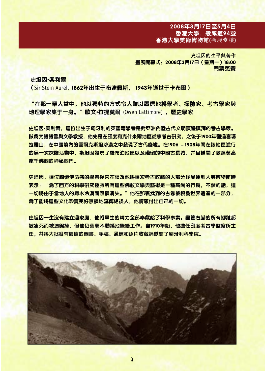#### 2008年3月17日至5月4日 香港大學, 般咸道94號 香港大學美術博物館(徐展堂樓)

史坦因的生平與著作 書展開幕式: 2008年3月17日 (星期一) 18:00 門亜孕費

中田因·奥利爾

(Sir Stein Aurél, 1862年出生于布達佩斯, 1943年浙世于卡布爾)

"在那一輩人當中,他以獨特的方式令人難以置信地將學者、探險家、考古學家與 地理學家集干一身。"歐文·拉提草爾 (Owen Lattimore), 歷史學家

史坦因•奥利爾、這位出生于匈牙利的英國籍學者是對亞洲內陸古代文明頂禮膜拜的考古學家。 做爲梵語語言與文學敎授,他先是在印度和克什米爾地區從事考古硏究, 之後于1900年翻過喜瑪 拉雅山,在中國境內的圖爾克斯坦沙漠之中發現了古代廢墟。在1906 -1908年間在該地區進行 的另一次探險活動中,斯坦因發現了羅布泊地區以及殘留的中國古長城,幷日推開了敦煌草高 窟千佛洞的神秘洞門。

史坦因,這位胸懷使命感的學者後來在談及他將這次考古收藏的大部分珍品運到大英博物館時 表示:"爲了西方的科學硏究拯救所有這些佛敎文學與藝術是一種高尙的行爲,不然的話,這 一切將由于當地人的麻木冷漠而毀損消失。"他在那裏找到的古卷被視爲世界潰產的一部分, 爲了能將這些文化珍寶完好無損地流傳給後人,他情願付出自己的一切。

史坦因一生沒有建立過家庭,他將畢生的精力全部奉獻給了科學事業。盡管右腳的所有腳趾都 被凄死而被泊锯掉,但他仍舊毫不動搖地繼續工作。自1910年始,他擔任印度考古學監察所主 任,并將大批很有價值的圖書、手稿、通信和照片收藏捐獻給了匈牙利科學院。

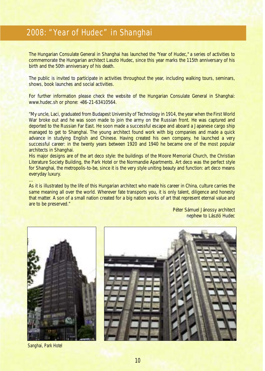### 2008: "Year of Hudec" in Shanghai

The Hungarian Consulate General in Shanghai has launched the "Year of Hudec," a series of activities to commemorate the Hungarian architect Laszlo Hudec, since this year marks the 115th anniversary of his birth and the 50th anniversary of his death.

The public is invited to participate in activities throughout the year, including walking tours, seminars, shows, book launches and social activities.

For further information please check the website of the Hungarian Consulate General in Shanghai: www.hudec.sh or phone: +86-21-63410564.

"*My uncle, Laci, graduated from Budapest University of Technology in 1914, the year when the First World* War broke out and he was soon made to join the army on the Russian front. He was captured and *deported to the Russian Far East. He soon made a successful escape and aboard a Japanese cargo ship managed to get to Shanghai. The young architect found work with big companies and made a quick advance in studying English and Chinese. Having created his own company, he launched a very successful career: in the twenty years between 1920 and 1940 he became one of the most popular architects in Shanghai.*

*His major designs are of the art deco style: the buildings of the Moore Memorial Church, the Christian Literature Society Building, the Park Hotel or the Normandie Apartments. Art deco was the perfect style for Shanghai, the metropolis-to-be, since it is the very style uniting beauty and function: art deco means everyday luxury.*

*As it is illustrated by the life of this Hungarian architect who made his career in China, culture carries the same meaning all over the world. Wherever fate transports you, it is only talent, diligence and honesty that matter. A son of a small nation created for a big nation works of art that represent eternal value and are to be preserved."*

> Péter Sámuel Jánossy architect nephew to László Hudec



Sanghai, Park Hotel

*…*

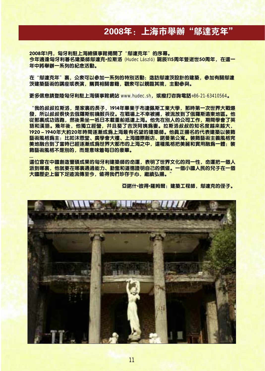## 2008年: 上海市舉辦"鄔達克年"

2008年1月, 匈牙利駐上海總領事館揭開了"鄔達克年"的序幕。 今年滴逢匈牙利著名建築師鄔達克·拉斯洛 (Hudec László) 誕辰115周年暫浙世50周年、在這一 年中將舉辦一系列的紀念活動。

在"鄔達克年"裏,公衆可以參加一系列的特別活動:造訪鄔達茨設計的建築,參加有關鄔達 茨建築藝術的講座或表演、購買相關書籍、觀衆可以親臨其境、主動參與。

更多信息請登陸匈牙利駐上海領事館網站 www.hudec.sh. 或撥打咨詢電話+86-21-63410564。

"我的叔叔拉斯洛,是家裏的長子,1914年畢業于布達佩斯工業大學,那時第一次世界大戰爆 發,所以叔叔很快去俄羅斯前綫服兵役。在戰場上不幸被捕,被流放到了俄羅斯遠東地區。他 從那裏成功逃跑,然後乘坐一衹日本載重船抵達上海。他先在別人的公司工作,期間學會了英 語和漢語。幾年後,他獨立經營,幷且娶了吉茨阿姨爲妻。拉斯洛叔叔的知名度越來越大, 1920-1940年大約20年時間逐漸成爲上海最有名望的建築師。他眞正揚名的代表建築以裝飾 藝術風格爲主:比如沐恩堂、廣學會大樓、上海國際飯店、諾曼第公寓。裝飾藝術主義風格完 **美地融合到了當時已經逐漸成爲世界大都市的上海之中,這種風格把美麗和實用融爲一體:裝** 飾藝術風格不是別的,而是意味着每日的豪華。

這位曾在中國創造豐碩成果的匈牙利建築師的命運,表明了世界文化的同一性,命運把一個人 派到哪裏,他就要在哪裏通過能力、勤奮和道德證明自己的價値。一個小國人民的兒子在一個 大國歷史上留下足迹流傳至今, 値得我們珍存于心, 繼續弘揚。"

亞諾什•彼得•薩姆爾• 建築工程師, 鄔達克的侄子。

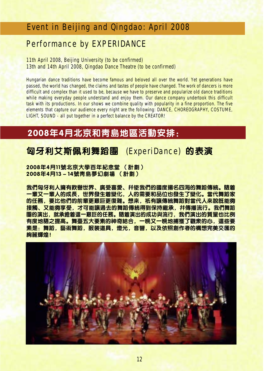## Event in Beijing and Qingdao: April 2008

## **Performance by EXPERIDANCE**

11th April 2008. Beiling University (to be confirmed) 13th and 14th April 2008, Qingdao Dance Theatre (to be confirmed)

Hungarian dance traditions have become famous and beloved all over the world. Yet generations have passed, the world has changed, the claims and tastes of people have changed. The work of dancers is more difficult and complex than it used to be, because we have to preserve and popularize old dance traditions while making everyday people understand and enjoy them. Our dance company undertook this difficult task with its productions. In our shows we combine quality with popularity in a fine proportion. The five elements that capture our audience every night are the following: DANCE, CHOREOGRAPHY, COSTUME. LIGHT. SOUND - all put together in a perfect balance by the CREATOR!

## 2008年4月北京和青島地區活動安排:

匈牙利艾斯佩利舞蹈團 (ExperiDance) 的表演

2008年4月11號北京大學百年紀念堂 (計劃) 2008年4月13-14號靑島夢幻劇場 (計劃)

我們匈牙利人擁有飮譽世界、廣受喜愛、幷使我們的國度揚名四海的舞蹈傳統。隨着 的任務,要比他們的前輩更艱巨更復雜。想來,衹有讓傳統舞蹈對當代人來說旣能夠 接觸、又能夠享受,才可能讓過去的舞蹈傳統得到保持繼承,幷傳播流行。我們舞蹈 團的演出,就承擔着這一艱巨的任務。隨着演出的成功與流行,我們演出的質量也比例 有度地隨之提高。舞臺五大要素的神奇結合,一晩又一晩地捕獲了觀衆的心,這些要 素是:舞蹈、藝術舞蹈、服裝道具、燈光、音響、以及依照創作者的構想完美交匯的 絢麗輝煌!

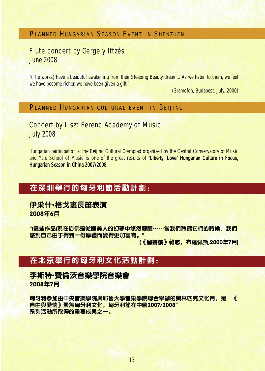### PLANNED HUNGARIAN SEASON EVENT IN SHENZHEN

#### Flute concert by Gergely Ittzés

**June 2008** 

"*(The works) have a beautiful awakening from their Sleeping Beauty dream... As we listen to them, we feel we have become richer, we have been given a gift."*

*(Gramofon, Budapest, July, 2000)*

#### PLANNED HUNGARIAN CULTURAL EVENT IN BELJING

#### Concert by Liszt Ferenc Academy of Music July 2008

Hungarian participation at the Beijing Cultural Olympiad organized by the Central Conservatory of Music and Yale School of Music is one of the great results of "*Liberty, Love"* Hungarian Culture in Focus, Hungarian Season in China 2007/2008.

### 在深圳舉行的匈牙利節活動計劃:

### 伊采什·格戈裏長笛表演 2008年6月

"(這些作品)現在仿佛是從睡美人的幻夢中悠然蘇醒……當我們聆聽它們的時候,我們 感到自己由于得到一份厚禮而變得更加富有。"

(《留聲機》雜志,布達佩斯,2000年7月)

## 在北京舉行的匈牙利文化活動計劃:

李斯特•費倫茨音樂學院音樂會 2008年7月

匈牙利參加由中央音樂學院與耶魯大學音樂學院聯合舉辦的奧林匹克文化月, 是"《 自由與愛情》聚焦匈牙利文化,匈牙利節在中國2007/2008" 系列活動所取得的重要成果之一。